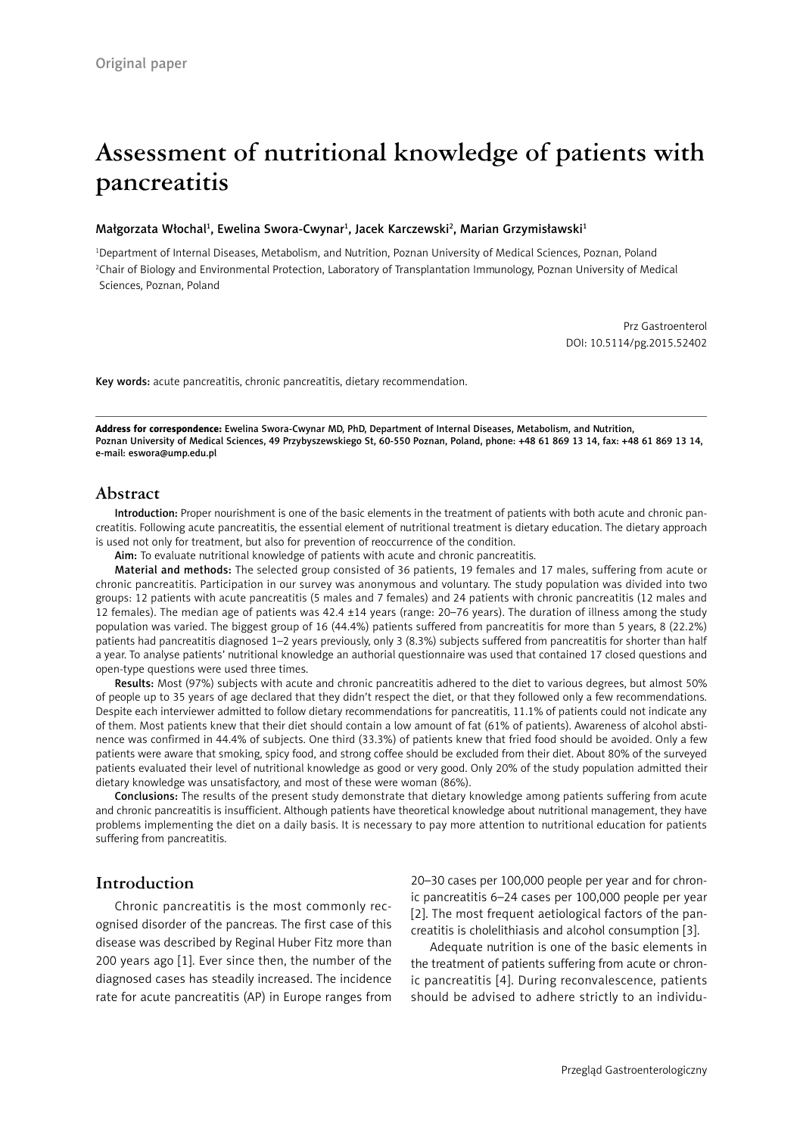# **Assessment of nutritional knowledge of patients with pancreatitis**

#### Małgorzata Włochal<sup>1</sup>, Ewelina Swora-Cwynar<sup>1</sup>, Jacek Karczewski<sup>2</sup>, Marian Grzymisławski<sup>1</sup>

1 Department of Internal Diseases, Metabolism, and Nutrition, Poznan University of Medical Sciences, Poznan, Poland 2 Chair of Biology and Environmental Protection, Laboratory of Transplantation Immunology, Poznan University of Medical Sciences, Poznan, Poland

> Prz Gastroenterol DOI: 10.5114/pg.2015.52402

Key words: acute pancreatitis, chronic pancreatitis, dietary recommendation.

Address for correspondence: Ewelina Swora-Cwynar MD, PhD, Department of Internal Diseases, Metabolism, and Nutrition, Poznan University of Medical Sciences, 49 Przybyszewskiego St, 60-550 Poznan, Poland, phone: +48 61 869 13 14, fax: +48 61 869 13 14, e-mail: eswora@ump.edu.pl

# **Abstract**

Introduction: Proper nourishment is one of the basic elements in the treatment of patients with both acute and chronic pancreatitis. Following acute pancreatitis, the essential element of nutritional treatment is dietary education. The dietary approach is used not only for treatment, but also for prevention of reoccurrence of the condition.

Aim: To evaluate nutritional knowledge of patients with acute and chronic pancreatitis.

Material and methods: The selected group consisted of 36 patients, 19 females and 17 males, suffering from acute or chronic pancreatitis. Participation in our survey was anonymous and voluntary. The study population was divided into two groups: 12 patients with acute pancreatitis (5 males and 7 females) and 24 patients with chronic pancreatitis (12 males and 12 females). The median age of patients was 42.4 ±14 years (range: 20–76 years). The duration of illness among the study population was varied. The biggest group of 16 (44.4%) patients suffered from pancreatitis for more than 5 years, 8 (22.2%) patients had pancreatitis diagnosed 1–2 years previously, only 3 (8.3%) subjects suffered from pancreatitis for shorter than half a year. To analyse patients' nutritional knowledge an authorial questionnaire was used that contained 17 closed questions and open-type questions were used three times.

Results: Most (97%) subjects with acute and chronic pancreatitis adhered to the diet to various degrees, but almost 50% of people up to 35 years of age declared that they didn't respect the diet, or that they followed only a few recommendations. Despite each interviewer admitted to follow dietary recommendations for pancreatitis, 11.1% of patients could not indicate any of them. Most patients knew that their diet should contain a low amount of fat (61% of patients). Awareness of alcohol abstinence was confirmed in 44.4% of subjects. One third (33.3%) of patients knew that fried food should be avoided. Only a few patients were aware that smoking, spicy food, and strong coffee should be excluded from their diet. About 80% of the surveyed patients evaluated their level of nutritional knowledge as good or very good. Only 20% of the study population admitted their dietary knowledge was unsatisfactory, and most of these were woman (86%).

Conclusions: The results of the present study demonstrate that dietary knowledge among patients suffering from acute and chronic pancreatitis is insufficient. Although patients have theoretical knowledge about nutritional management, they have problems implementing the diet on a daily basis. It is necessary to pay more attention to nutritional education for patients suffering from pancreatitis.

# **Introduction**

Chronic pancreatitis is the most commonly recognised disorder of the pancreas. The first case of this disease was described by Reginal Huber Fitz more than 200 years ago [1]. Ever since then, the number of the diagnosed cases has steadily increased. The incidence rate for acute pancreatitis (AP) in Europe ranges from

20–30 cases per 100,000 people per year and for chronic pancreatitis 6–24 cases per 100,000 people per year [2]. The most frequent aetiological factors of the pancreatitis is cholelithiasis and alcohol consumption [3].

Adequate nutrition is one of the basic elements in the treatment of patients suffering from acute or chronic pancreatitis [4]. During reconvalescence, patients should be advised to adhere strictly to an individu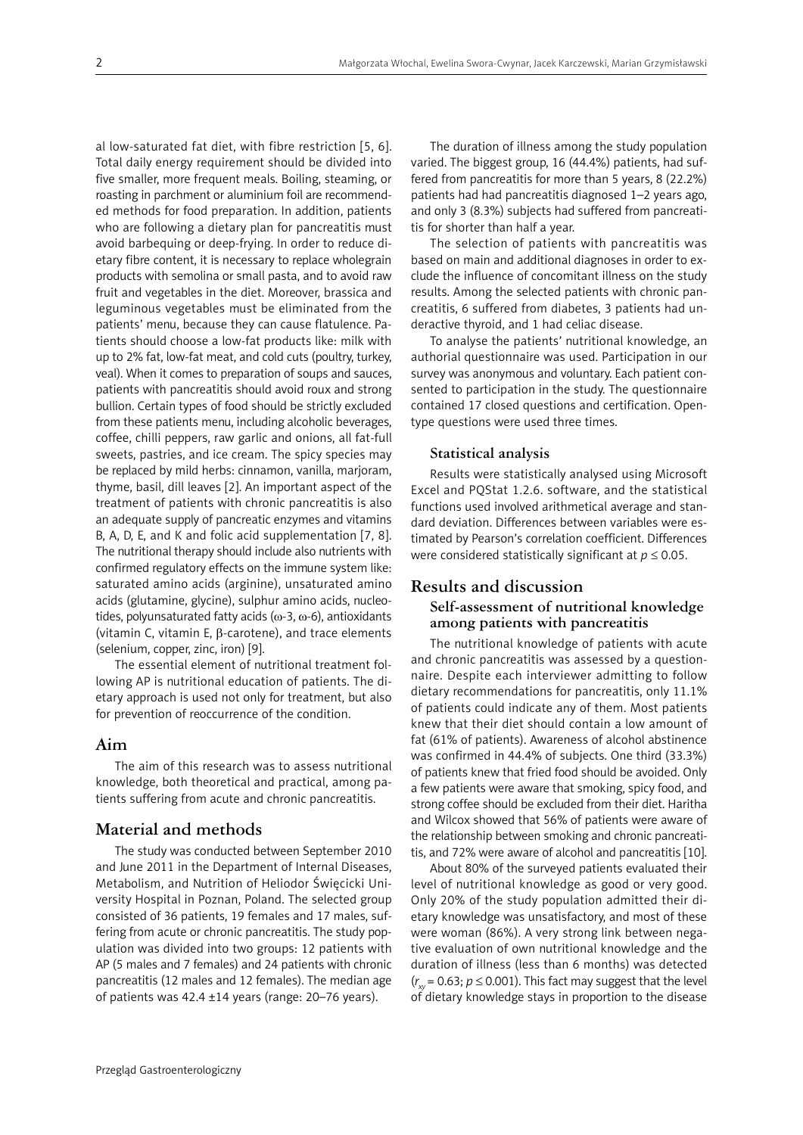al low-saturated fat diet, with fibre restriction [5, 6]. Total daily energy requirement should be divided into five smaller, more frequent meals. Boiling, steaming, or roasting in parchment or aluminium foil are recommended methods for food preparation. In addition, patients who are following a dietary plan for pancreatitis must avoid barbequing or deep-frying. In order to reduce dietary fibre content, it is necessary to replace wholegrain products with semolina or small pasta, and to avoid raw fruit and vegetables in the diet. Moreover, brassica and leguminous vegetables must be eliminated from the patients' menu, because they can cause flatulence. Patients should choose a low-fat products like: milk with up to 2% fat, low-fat meat, and cold cuts (poultry, turkey, veal). When it comes to preparation of soups and sauces, patients with pancreatitis should avoid roux and strong bullion. Certain types of food should be strictly excluded from these patients menu, including alcoholic beverages, coffee, chilli peppers, raw garlic and onions, all fat-full sweets, pastries, and ice cream. The spicy species may be replaced by mild herbs: cinnamon, vanilla, marjoram, thyme, basil, dill leaves [2]. An important aspect of the treatment of patients with chronic pancreatitis is also an adequate supply of pancreatic enzymes and vitamins B, A, D, E, and K and folic acid supplementation [7, 8]. The nutritional therapy should include also nutrients with confirmed regulatory effects on the immune system like: saturated amino acids (arginine), unsaturated amino acids (glutamine, glycine), sulphur amino acids, nucleotides, polyunsaturated fatty acids (ω-3, ω-6), antioxidants (vitamin C, vitamin E, β-carotene), and trace elements (selenium, copper, zinc, iron) [9].

The essential element of nutritional treatment following AP is nutritional education of patients. The dietary approach is used not only for treatment, but also for prevention of reoccurrence of the condition.

## **Aim**

The aim of this research was to assess nutritional knowledge, both theoretical and practical, among patients suffering from acute and chronic pancreatitis.

### **Material and methods**

The study was conducted between September 2010 and June 2011 in the Department of Internal Diseases, Metabolism, and Nutrition of Heliodor Święcicki University Hospital in Poznan, Poland. The selected group consisted of 36 patients, 19 females and 17 males, suffering from acute or chronic pancreatitis. The study population was divided into two groups: 12 patients with AP (5 males and 7 females) and 24 patients with chronic pancreatitis (12 males and 12 females). The median age of patients was 42.4 ±14 years (range: 20–76 years).

The duration of illness among the study population varied. The biggest group, 16 (44.4%) patients, had suffered from pancreatitis for more than 5 years, 8 (22.2%) patients had had pancreatitis diagnosed 1–2 years ago, and only 3 (8.3%) subjects had suffered from pancreatitis for shorter than half a year.

The selection of patients with pancreatitis was based on main and additional diagnoses in order to exclude the influence of concomitant illness on the study results. Among the selected patients with chronic pancreatitis, 6 suffered from diabetes, 3 patients had underactive thyroid, and 1 had celiac disease.

To analyse the patients' nutritional knowledge, an authorial questionnaire was used. Participation in our survey was anonymous and voluntary. Each patient consented to participation in the study. The questionnaire contained 17 closed questions and certification. Opentype questions were used three times.

### **Statistical analysis**

Results were statistically analysed using Microsoft Excel and PQStat 1.2.6. software, and the statistical functions used involved arithmetical average and standard deviation. Differences between variables were estimated by Pearson's correlation coefficient. Differences were considered statistically significant at  $p \leq 0.05$ .

# **Results and discussion**

# **Self-assessment of nutritional knowledge among patients with pancreatitis**

The nutritional knowledge of patients with acute and chronic pancreatitis was assessed by a questionnaire. Despite each interviewer admitting to follow dietary recommendations for pancreatitis, only 11.1% of patients could indicate any of them. Most patients knew that their diet should contain a low amount of fat (61% of patients). Awareness of alcohol abstinence was confirmed in 44.4% of subjects. One third (33.3%) of patients knew that fried food should be avoided. Only a few patients were aware that smoking, spicy food, and strong coffee should be excluded from their diet. Haritha and Wilcox showed that 56% of patients were aware of the relationship between smoking and chronic pancreatitis, and 72% were aware of alcohol and pancreatitis [10].

About 80% of the surveyed patients evaluated their level of nutritional knowledge as good or very good. Only 20% of the study population admitted their dietary knowledge was unsatisfactory, and most of these were woman (86%). A very strong link between negative evaluation of own nutritional knowledge and the duration of illness (less than 6 months) was detected  $(r_{xy} = 0.63; p \le 0.001)$ . This fact may suggest that the level of dietary knowledge stays in proportion to the disease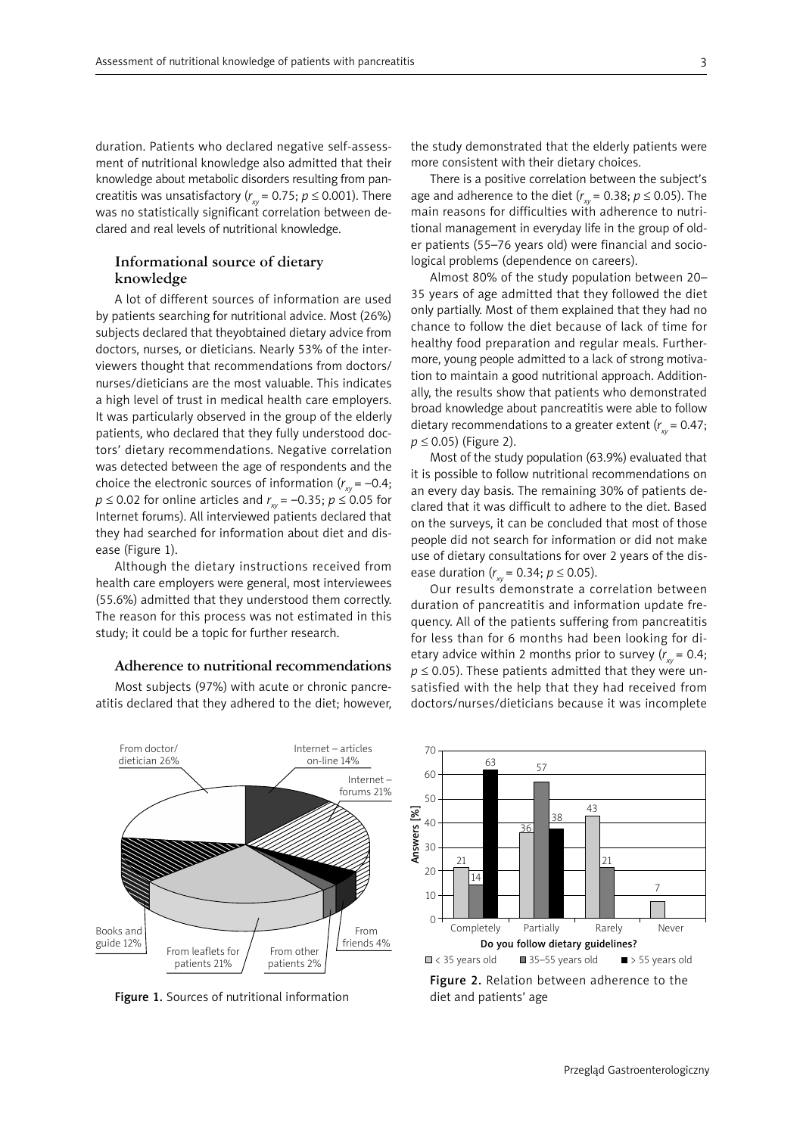duration. Patients who declared negative self-assessment of nutritional knowledge also admitted that their knowledge about metabolic disorders resulting from pancreatitis was unsatisfactory ( $r_{xy}$  = 0.75;  $p \le 0.001$ ). There was no statistically significant correlation between declared and real levels of nutritional knowledge.

### **Informational source of dietary knowledge**

A lot of different sources of information are used by patients searching for nutritional advice. Most (26%) subjects declared that theyobtained dietary advice from doctors, nurses, or dieticians. Nearly 53% of the interviewers thought that recommendations from doctors/ nurses/dieticians are the most valuable. This indicates a high level of trust in medical health care employers. It was particularly observed in the group of the elderly patients, who declared that they fully understood doctors' dietary recommendations. Negative correlation was detected between the age of respondents and the choice the electronic sources of information  $(r_{xx} = -0.4;$  $p \le 0.02$  for online articles and  $r_{\text{av}} = -0.35$ ;  $p \le 0.05$  for Internet forums). All interviewed patients declared that they had searched for information about diet and disease (Figure 1).

Although the dietary instructions received from health care employers were general, most interviewees (55.6%) admitted that they understood them correctly. The reason for this process was not estimated in this study; it could be a topic for further research.

### **Adherence to nutritional recommendations**

Most subjects (97%) with acute or chronic pancreatitis declared that they adhered to the diet; however, the study demonstrated that the elderly patients were more consistent with their dietary choices.

There is a positive correlation between the subject's age and adherence to the diet ( $r_{\text{av}}$  = 0.38;  $p \le 0.05$ ). The main reasons for difficulties with adherence to nutritional management in everyday life in the group of older patients (55–76 years old) were financial and sociological problems (dependence on careers).

Almost 80% of the study population between 20– 35 years of age admitted that they followed the diet only partially. Most of them explained that they had no chance to follow the diet because of lack of time for healthy food preparation and regular meals. Furthermore, young people admitted to a lack of strong motivation to maintain a good nutritional approach. Additionally, the results show that patients who demonstrated broad knowledge about pancreatitis were able to follow dietary recommendations to a greater extent  $(r_{xy} = 0.47;$ *p* ≤ 0.05) (Figure 2).

Most of the study population (63.9%) evaluated that it is possible to follow nutritional recommendations on an every day basis. The remaining 30% of patients declared that it was difficult to adhere to the diet. Based on the surveys, it can be concluded that most of those people did not search for information or did not make use of dietary consultations for over 2 years of the disease duration ( $r_{xy}$  = 0.34; *p* ≤ 0.05).

Our results demonstrate a correlation between duration of pancreatitis and information update frequency. All of the patients suffering from pancreatitis for less than for 6 months had been looking for dietary advice within 2 months prior to survey  $(r_{\text{w}} = 0.4;$  $p \le 0.05$ ). These patients admitted that they were unsatisfied with the help that they had received from doctors/nurses/dieticians because it was incomplete



Figure 1. Sources of nutritional information



Figure 2. Relation between adherence to the diet and patients' age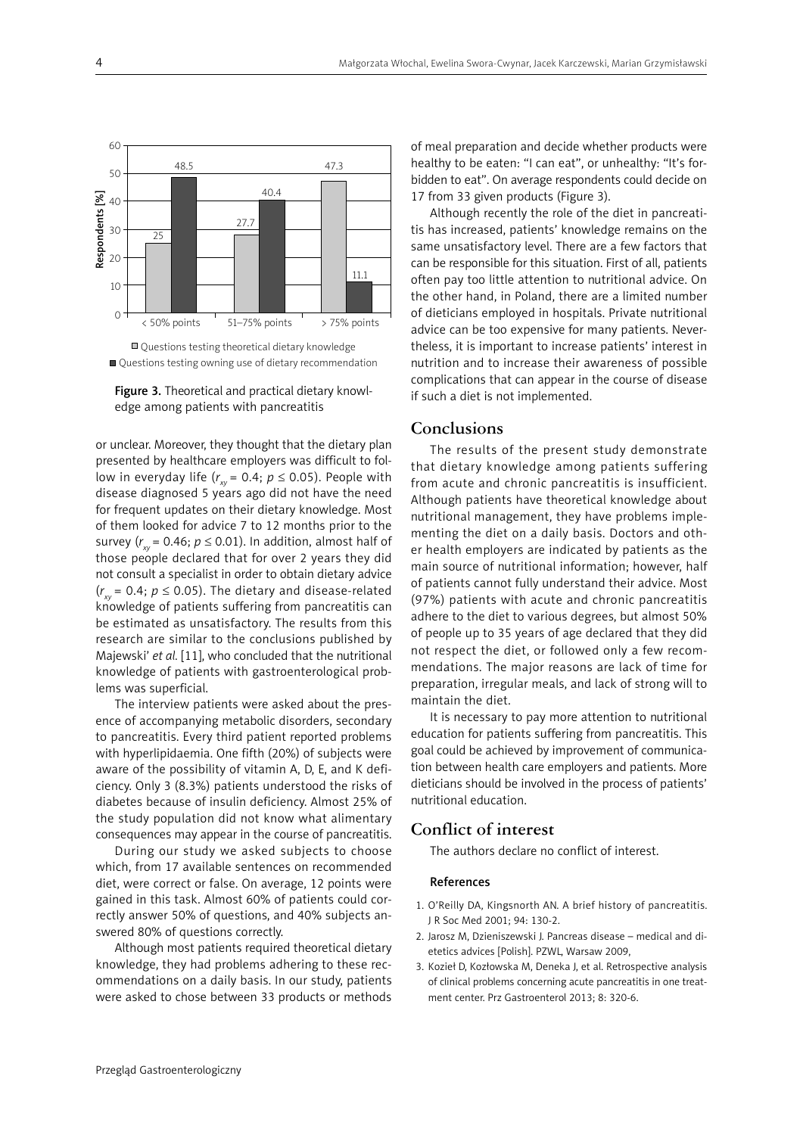



Figure 3. Theoretical and practical dietary knowledge among patients with pancreatitis

or unclear. Moreover, they thought that the dietary plan presented by healthcare employers was difficult to follow in everyday life ( $r_{xy}$  = 0.4;  $p \le 0.05$ ). People with disease diagnosed 5 years ago did not have the need for frequent updates on their dietary knowledge. Most of them looked for advice 7 to 12 months prior to the survey ( $r_{\text{av}}$  = 0.46;  $p \le 0.01$ ). In addition, almost half of those people declared that for over 2 years they did not consult a specialist in order to obtain dietary advice  $(r_{xy} = 0.4; p \le 0.05)$ . The dietary and disease-related knowledge of patients suffering from pancreatitis can be estimated as unsatisfactory. The results from this research are similar to the conclusions published by Majewski' *et al.* [11], who concluded that the nutritional knowledge of patients with gastroenterological problems was superficial.

The interview patients were asked about the presence of accompanying metabolic disorders, secondary to pancreatitis. Every third patient reported problems with hyperlipidaemia. One fifth (20%) of subjects were aware of the possibility of vitamin A, D, E, and K deficiency. Only 3 (8.3%) patients understood the risks of diabetes because of insulin deficiency. Almost 25% of the study population did not know what alimentary consequences may appear in the course of pancreatitis.

During our study we asked subjects to choose which, from 17 available sentences on recommended diet, were correct or false. On average, 12 points were gained in this task. Almost 60% of patients could correctly answer 50% of questions, and 40% subjects answered 80% of questions correctly.

Although most patients required theoretical dietary knowledge, they had problems adhering to these recommendations on a daily basis. In our study, patients were asked to chose between 33 products or methods

of meal preparation and decide whether products were healthy to be eaten: "I can eat", or unhealthy: "It's forbidden to eat". On average respondents could decide on 17 from 33 given products (Figure 3).

Although recently the role of the diet in pancreatitis has increased, patients' knowledge remains on the same unsatisfactory level. There are a few factors that can be responsible for this situation. First of all, patients often pay too little attention to nutritional advice. On the other hand, in Poland, there are a limited number of dieticians employed in hospitals. Private nutritional advice can be too expensive for many patients. Nevertheless, it is important to increase patients' interest in nutrition and to increase their awareness of possible complications that can appear in the course of disease if such a diet is not implemented.

### **Conclusions**

The results of the present study demonstrate that dietary knowledge among patients suffering from acute and chronic pancreatitis is insufficient. Although patients have theoretical knowledge about nutritional management, they have problems implementing the diet on a daily basis. Doctors and other health employers are indicated by patients as the main source of nutritional information; however, half of patients cannot fully understand their advice. Most (97%) patients with acute and chronic pancreatitis adhere to the diet to various degrees, but almost 50% of people up to 35 years of age declared that they did not respect the diet, or followed only a few recommendations. The major reasons are lack of time for preparation, irregular meals, and lack of strong will to maintain the diet.

It is necessary to pay more attention to nutritional education for patients suffering from pancreatitis. This goal could be achieved by improvement of communication between health care employers and patients. More dieticians should be involved in the process of patients' nutritional education.

# **Conflict of interest**

The authors declare no conflict of interest.

### References

- 1. O'Reilly DA, Kingsnorth AN. A brief history of pancreatitis. J R Soc Med 2001; 94: 130-2.
- 2. Jarosz M, Dzieniszewski J. Pancreas disease medical and dietetics advices [Polish]. PZWL, Warsaw 2009,
- 3. Kozieł D, Kozłowska M, Deneka J, et al. Retrospective analysis of clinical problems concerning acute pancreatitis in one treatment center. Prz Gastroenterol 2013; 8: 320-6.